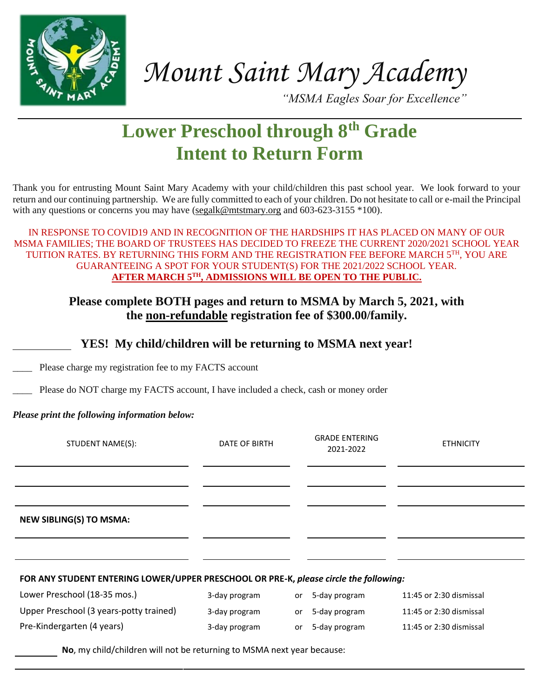

*Mount Saint Mary Academy*

*"MSMA Eagles Soar for Excellence"*

# **Lower Preschool through 8th Grade Intent to Return Form**

Thank you for entrusting Mount Saint Mary Academy with your child/children this past school year. We look forward to your return and our continuing partnership. We are fully committed to each of your children. Do not hesitate to call or e-mail the Principal with any questions or concerns you may have [\(segalk@mtstmary.org](mailto:segalk@mtstmary.org) and 603-623-3155 \*100).

IN RESPONSE TO COVID19 AND IN RECOGNITION OF THE HARDSHIPS IT HAS PLACED ON MANY OF OUR MSMA FAMILIES; THE BOARD OF TRUSTEES HAS DECIDED TO FREEZE THE CURRENT 2020/2021 SCHOOL YEAR TUITION RATES. BY RETURNING THIS FORM AND THE REGISTRATION FEE BEFORE MARCH 5TH, YOU ARE GUARANTEEING A SPOT FOR YOUR STUDENT(S) FOR THE 2021/2022 SCHOOL YEAR. **AFTER MARCH 5TH, ADMISSIONS WILL BE OPEN TO THE PUBLIC.**

# **Please complete BOTH pages and return to MSMA by March 5, 2021, with the non-refundable registration fee of \$300.00/family.**

# **YES! My child/children will be returning to MSMA next year!**

Please charge my registration fee to my FACTS account

Please do NOT charge my FACTS account, I have included a check, cash or money order

# *Please print the following information below:*

| STUDENT NAME(S):                                                                      | DATE OF BIRTH |    | <b>GRADE ENTERING</b><br>2021-2022 | <b>ETHNICITY</b>        |
|---------------------------------------------------------------------------------------|---------------|----|------------------------------------|-------------------------|
|                                                                                       |               |    |                                    |                         |
| <b>NEW SIBLING(S) TO MSMA:</b>                                                        |               |    |                                    |                         |
|                                                                                       |               |    |                                    |                         |
| FOR ANY STUDENT ENTERING LOWER/UPPER PRESCHOOL OR PRE-K, please circle the following: |               |    |                                    |                         |
| Lower Preschool (18-35 mos.)                                                          | 3-day program | or | 5-day program                      | 11:45 or 2:30 dismissal |
| Upper Preschool (3 years-potty trained)                                               | 3-day program | or | 5-day program                      | 11:45 or 2:30 dismissal |

Pre-Kindergarten (4 years) 3-day program or 5-day program 11:45 or 2:30 dismissal

**No**, my child/children will not be returning to MSMA next year because: